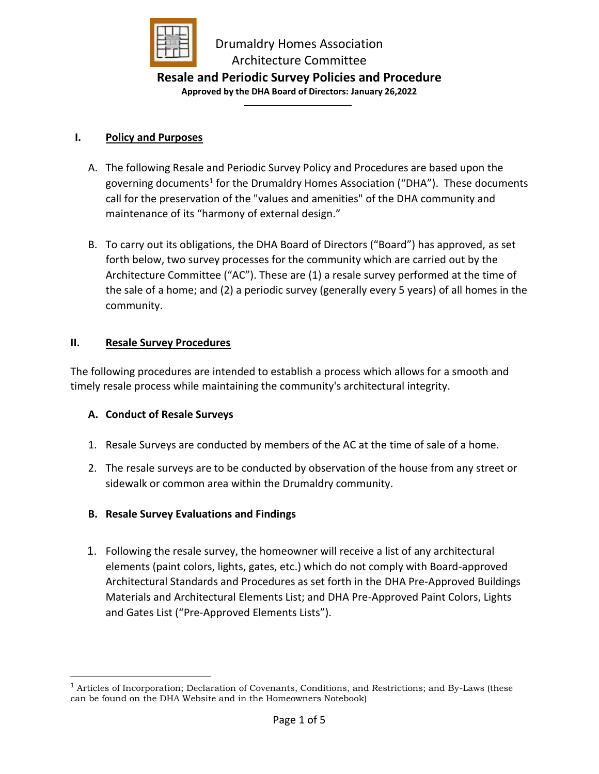

# **Resale and Periodic Survey Policies and Procedure**

**Approved by the DHA Board of Directors: January 26,2022**

### **I. Policy and Purposes**

- A. The following Resale and Periodic Survey Policy and Procedures are based upon the governing documents<sup>1</sup> for the Drumaldry Homes Association ("DHA"). These documents call for the preservation of the "values and amenities" of the DHA community and maintenance of its "harmony of external design."
- B. To carry out its obligations, the DHA Board of Directors ("Board") has approved, as set forth below, two survey processes for the community which are carried out by the Architecture Committee ("AC"). These are (1) a resale survey performed at the time of the sale of a home; and (2) a periodic survey (generally every 5 years) of all homes in the community.

### **II. Resale Survey Procedures**

The following procedures are intended to establish a process which allows for a smooth and timely resale process while maintaining the community's architectural integrity.

## **A. Conduct of Resale Surveys**

- 1. Resale Surveys are conducted by members of the AC at the time of sale of a home.
- 2. The resale surveys are to be conducted by observation of the house from any street or sidewalk or common area within the Drumaldry community.
- **B. Resale Survey Evaluations and Findings**
- 1. Following the resale survey, the homeowner will receive a list of any architectural elements (paint colors, lights, gates, etc.) which do not comply with Board-approved Architectural Standards and Procedures as set forth in the DHA Pre-Approved Buildings Materials and Architectural Elements List; and DHA Pre-Approved Paint Colors, Lights and Gates List ("Pre-Approved Elements Lists").

<sup>&</sup>lt;sup>1</sup> Articles of Incorporation; Declaration of Covenants, Conditions, and Restrictions; and By-Laws (these can be found on the DHA Website and in the Homeowners Notebook)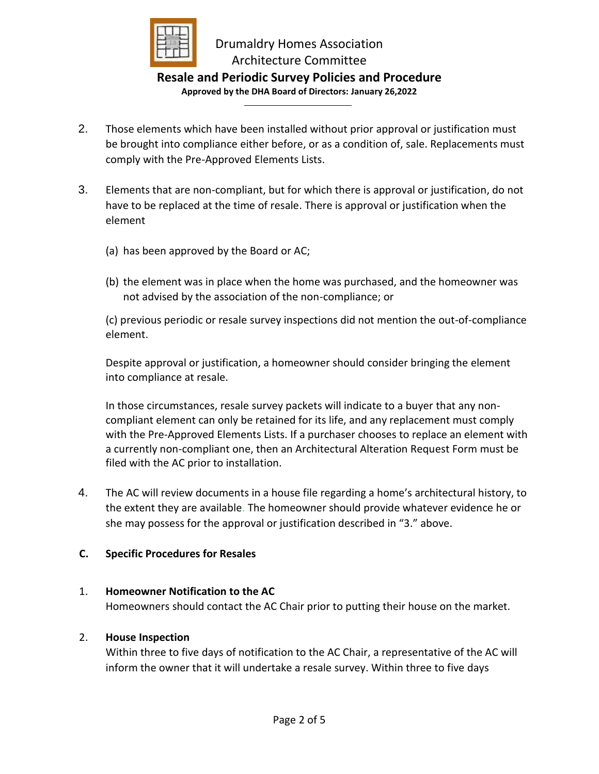

# Drumaldry Homes Association Architecture Committee

### **Resale and Periodic Survey Policies and Procedure Approved by the DHA Board of Directors: January 26,2022**

- 2. Those elements which have been installed without prior approval or justification must be brought into compliance either before, or as a condition of, sale. Replacements must comply with the Pre-Approved Elements Lists.
- 3. Elements that are non-compliant, but for which there is approval or justification, do not have to be replaced at the time of resale. There is approval or justification when the element
	- (a) has been approved by the Board or AC;
	- (b) the element was in place when the home was purchased, and the homeowner was not advised by the association of the non-compliance; or

(c) previous periodic or resale survey inspections did not mention the out-of-compliance element.

Despite approval or justification, a homeowner should consider bringing the element into compliance at resale.

In those circumstances, resale survey packets will indicate to a buyer that any noncompliant element can only be retained for its life, and any replacement must comply with the Pre-Approved Elements Lists. If a purchaser chooses to replace an element with a currently non-compliant one, then an Architectural Alteration Request Form must be filed with the AC prior to installation.

4. The AC will review documents in a house file regarding a home's architectural history, to the extent they are available. The homeowner should provide whatever evidence he or she may possess for the approval or justification described in "3." above.

## **C. Specific Procedures for Resales**

## 1. **Homeowner Notification to the AC**

Homeowners should contact the AC Chair prior to putting their house on the market.

## 2. **House Inspection**

Within three to five days of notification to the AC Chair, a representative of the AC will inform the owner that it will undertake a resale survey. Within three to five days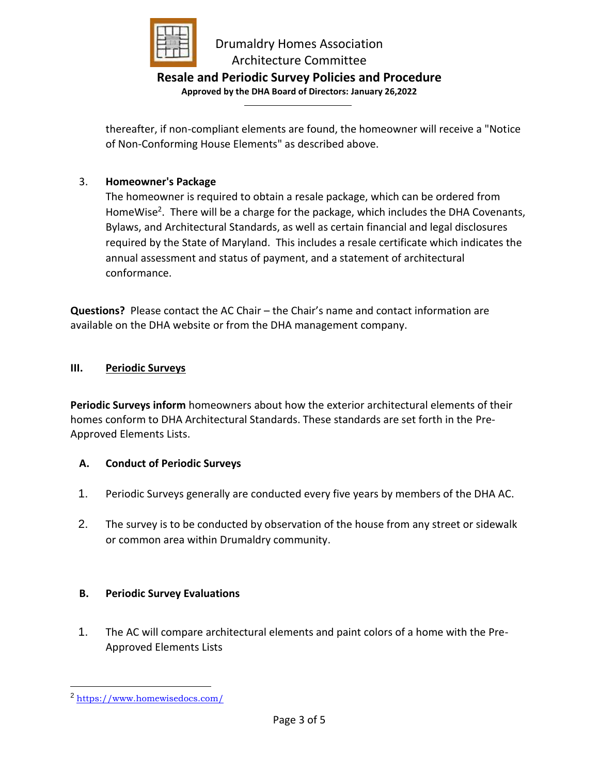

# Drumaldry Homes Association Architecture Committee

# **Resale and Periodic Survey Policies and Procedure**

**Approved by the DHA Board of Directors: January 26,2022**

thereafter, if non-compliant elements are found, the homeowner will receive a "Notice of Non-Conforming House Elements" as described above.

### 3. **Homeowner's Package**

The homeowner is required to obtain a resale package, which can be ordered from HomeWise<sup>2</sup>. There will be a charge for the package, which includes the DHA Covenants, Bylaws, and Architectural Standards, as well as certain financial and legal disclosures required by the State of Maryland. This includes a resale certificate which indicates the annual assessment and status of payment, and a statement of architectural conformance.

**Questions?** Please contact the AC Chair – the Chair's name and contact information are available on the DHA website or from the DHA management company.

#### **III. Periodic Surveys**

**Periodic Surveys inform** homeowners about how the exterior architectural elements of their homes conform to DHA Architectural Standards. These standards are set forth in the Pre-Approved Elements Lists.

#### **A. Conduct of Periodic Surveys**

- 1. Periodic Surveys generally are conducted every five years by members of the DHA AC.
- 2. The survey is to be conducted by observation of the house from any street or sidewalk or common area within Drumaldry community.

## **B. Periodic Survey Evaluations**

1. The AC will compare architectural elements and paint colors of a home with the Pre-Approved Elements Lists

<sup>2</sup> <https://www.homewisedocs.com/>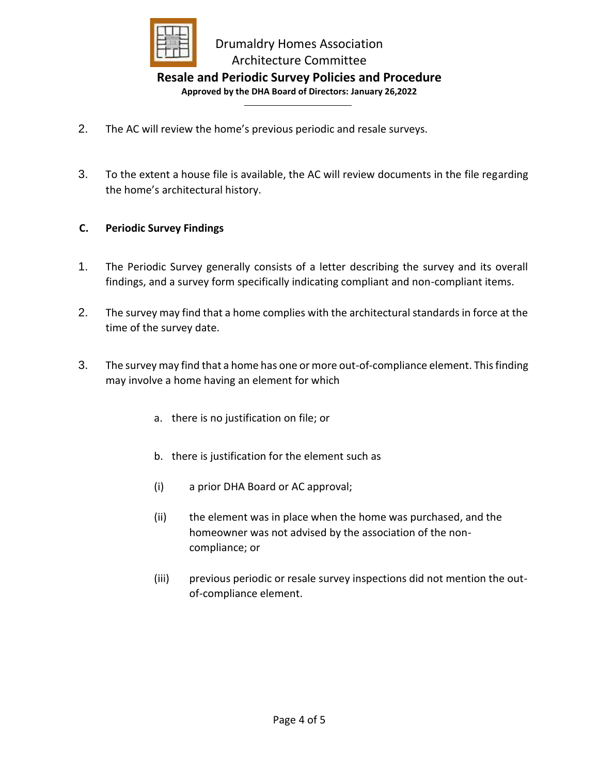

# **Resale and Periodic Survey Policies and Procedure**

**Approved by the DHA Board of Directors: January 26,2022**

- 2. The AC will review the home's previous periodic and resale surveys.
- 3. To the extent a house file is available, the AC will review documents in the file regarding the home's architectural history.

### **C. Periodic Survey Findings**

- 1. The Periodic Survey generally consists of a letter describing the survey and its overall findings, and a survey form specifically indicating compliant and non-compliant items.
- 2. The survey may find that a home complies with the architectural standards in force at the time of the survey date.
- 3. The survey may find that a home has one or more out-of-compliance element. Thisfinding may involve a home having an element for which
	- a. there is no justification on file; or
	- b. there is justification for the element such as
	- (i) a prior DHA Board or AC approval;
	- (ii) the element was in place when the home was purchased, and the homeowner was not advised by the association of the noncompliance; or
	- (iii) previous periodic or resale survey inspections did not mention the outof-compliance element.